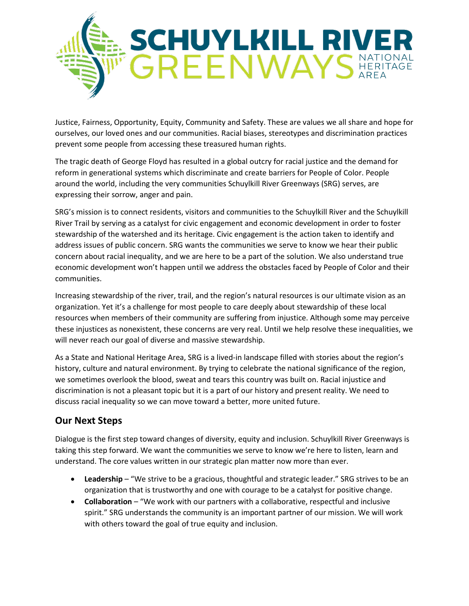

Justice, Fairness, Opportunity, Equity, Community and Safety. These are values we all share and hope for ourselves, our loved ones and our communities. Racial biases, stereotypes and discrimination practices prevent some people from accessing these treasured human rights.

The tragic death of George Floyd has resulted in a global outcry for racial justice and the demand for reform in generational systems which discriminate and create barriers for People of Color. People around the world, including the very communities Schuylkill River Greenways (SRG) serves, are expressing their sorrow, anger and pain.

SRG's mission is to connect residents, visitors and communities to the Schuylkill River and the Schuylkill River Trail by serving as a catalyst for civic engagement and economic development in order to foster stewardship of the watershed and its heritage. Civic engagement is the action taken to identify and address issues of public concern. SRG wants the communities we serve to know we hear their public concern about racial inequality, and we are here to be a part of the solution. We also understand true economic development won't happen until we address the obstacles faced by People of Color and their communities.

Increasing stewardship of the river, trail, and the region's natural resources is our ultimate vision as an organization. Yet it's a challenge for most people to care deeply about stewardship of these local resources when members of their community are suffering from injustice. Although some may perceive these injustices as nonexistent, these concerns are very real. Until we help resolve these inequalities, we will never reach our goal of diverse and massive stewardship.

As a State and National Heritage Area, SRG is a lived-in landscape filled with stories about the region's history, culture and natural environment. By trying to celebrate the national significance of the region, we sometimes overlook the blood, sweat and tears this country was built on. Racial injustice and discrimination is not a pleasant topic but it is a part of our history and present reality. We need to discuss racial inequality so we can move toward a better, more united future.

## **Our Next Steps**

Dialogue is the first step toward changes of diversity, equity and inclusion. Schuylkill River Greenways is taking this step forward. We want the communities we serve to know we're here to listen, learn and understand. The core values written in our strategic plan matter now more than ever.

- **•** Leadership "We strive to be a gracious, thoughtful and strategic leader." SRG strives to be an organization that is trustworthy and one with courage to be a catalyst for positive change.
- **Collaboration** "We work with our partners with a collaborative, respectful and inclusive spirit." SRG understands the community is an important partner of our mission. We will work with others toward the goal of true equity and inclusion.